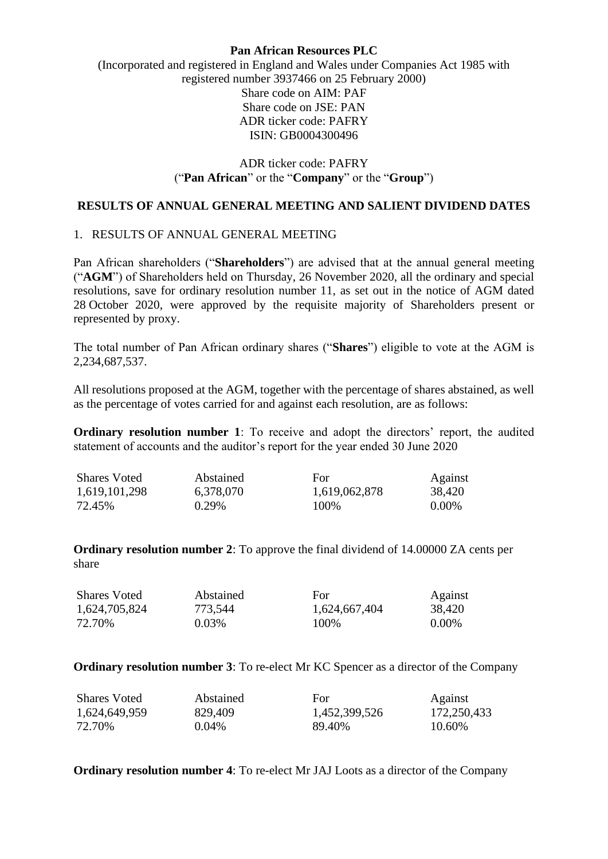### **Pan African Resources PLC**

# (Incorporated and registered in England and Wales under Companies Act 1985 with registered number 3937466 on 25 February 2000) Share code on AIM: PAF Share code on JSE: PAN ADR ticker code: PAFRY ISIN: GB0004300496

## ADR ticker code: PAFRY ("**Pan African**" or the "**Company**" or the "**Group**")

## **RESULTS OF ANNUAL GENERAL MEETING AND SALIENT DIVIDEND DATES**

## 1. RESULTS OF ANNUAL GENERAL MEETING

Pan African shareholders ("**Shareholders**") are advised that at the annual general meeting ("**AGM**") of Shareholders held on Thursday, 26 November 2020, all the ordinary and special resolutions, save for ordinary resolution number 11, as set out in the notice of AGM dated 28 October 2020, were approved by the requisite majority of Shareholders present or represented by proxy.

The total number of Pan African ordinary shares ("**Shares**") eligible to vote at the AGM is 2,234,687,537.

All resolutions proposed at the AGM, together with the percentage of shares abstained, as well as the percentage of votes carried for and against each resolution, are as follows:

**Ordinary resolution number 1**: To receive and adopt the directors' report, the audited statement of accounts and the auditor's report for the year ended 30 June 2020

| <b>Shares Voted</b> | Abstained | For           | Against  |
|---------------------|-----------|---------------|----------|
| 1,619,101,298       | 6,378,070 | 1,619,062,878 | 38,420   |
| 72.45%              | $0.29\%$  | 100\%         | $0.00\%$ |

**Ordinary resolution number 2**: To approve the final dividend of 14.00000 ZA cents per share

| <b>Shares Voted</b> | Abstained | For           | Against  |
|---------------------|-----------|---------------|----------|
| 1,624,705,824       | 773,544   | 1,624,667,404 | 38,420   |
| 72.70%              | 0.03%     | 100\%         | $0.00\%$ |

**Ordinary resolution number 3**: To re-elect Mr KC Spencer as a director of the Company

| <b>Shares Voted</b> | Abstained | For           | Against     |
|---------------------|-----------|---------------|-------------|
| 1,624,649,959       | 829,409   | 1,452,399,526 | 172,250,433 |
| 72.70%              | $0.04\%$  | 89.40%        | 10.60%      |

**Ordinary resolution number 4**: To re-elect Mr JAJ Loots as a director of the Company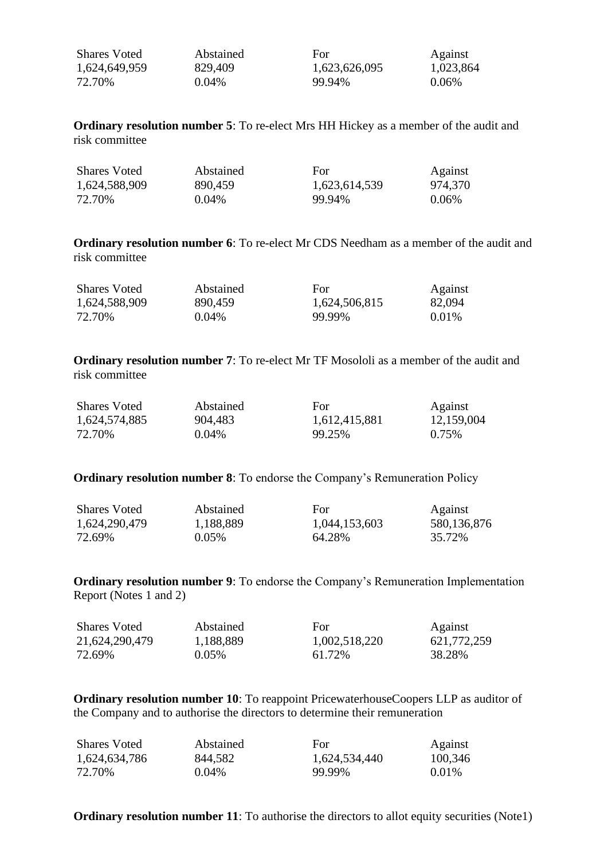| <b>Shares Voted</b> | Abstained | For           | Against   |
|---------------------|-----------|---------------|-----------|
| 1,624,649,959       | 829,409   | 1,623,626,095 | 1,023,864 |
| 72.70%              | $0.04\%$  | 99.94%        | $0.06\%$  |

**Ordinary resolution number 5**: To re-elect Mrs HH Hickey as a member of the audit and risk committee

| <b>Shares Voted</b> | Abstained | For           | Against  |
|---------------------|-----------|---------------|----------|
| 1,624,588,909       | 890,459   | 1,623,614,539 | 974,370  |
| 72.70%              | $0.04\%$  | 99.94%        | $0.06\%$ |

**Ordinary resolution number 6**: To re-elect Mr CDS Needham as a member of the audit and risk committee

| <b>Shares Voted</b> | Abstained | For           | Against  |
|---------------------|-----------|---------------|----------|
| 1,624,588,909       | 890,459   | 1,624,506,815 | 82,094   |
| 72.70%              | $0.04\%$  | 99.99%        | $0.01\%$ |

**Ordinary resolution number 7**: To re-elect Mr TF Mosololi as a member of the audit and risk committee

| <b>Shares Voted</b> | Abstained | For           | Against    |
|---------------------|-----------|---------------|------------|
| 1,624,574,885       | 904,483   | 1,612,415,881 | 12,159,004 |
| 72.70%              | $0.04\%$  | 99.25%        | 0.75%      |

**Ordinary resolution number 8:** To endorse the Company's Remuneration Policy

| <b>Shares Voted</b> | Abstained | For           | Against     |
|---------------------|-----------|---------------|-------------|
| 1,624,290,479       | 1,188,889 | 1,044,153,603 | 580,136,876 |
| 72.69%              | $0.05\%$  | 64.28%        | 35.72%      |

**Ordinary resolution number 9**: To endorse the Company's Remuneration Implementation Report (Notes 1 and 2)

| <b>Shares Voted</b> | Abstained | For           | Against     |
|---------------------|-----------|---------------|-------------|
| 21,624,290,479      | 1,188,889 | 1,002,518,220 | 621,772,259 |
| 72.69%              | $0.05\%$  | 61.72%        | 38.28%      |

**Ordinary resolution number 10**: To reappoint PricewaterhouseCoopers LLP as auditor of the Company and to authorise the directors to determine their remuneration

| <b>Shares Voted</b> | Abstained | For           | Against  |
|---------------------|-----------|---------------|----------|
| 1,624,634,786       | 844,582   | 1,624,534,440 | 100,346  |
| 72.70%              | $0.04\%$  | 99.99%        | $0.01\%$ |

**Ordinary resolution number 11:** To authorise the directors to allot equity securities (Note1)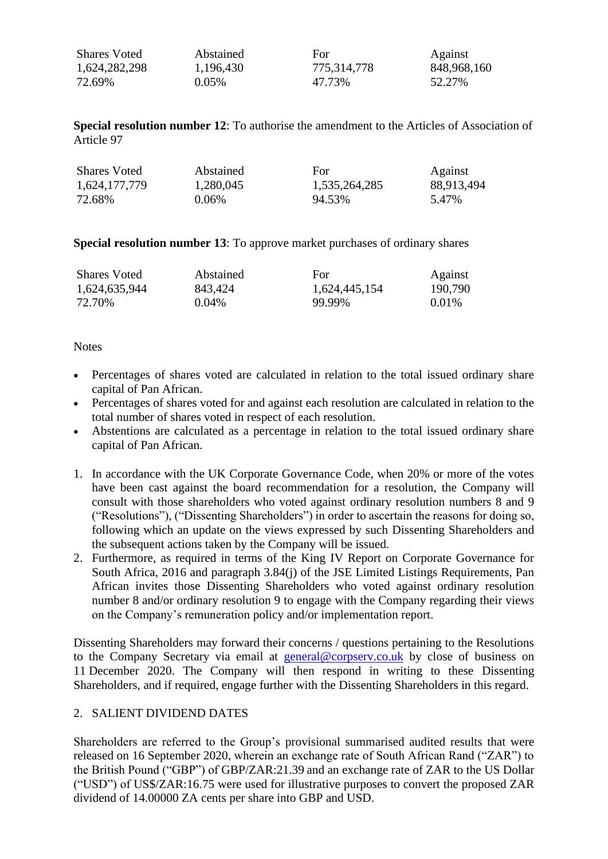| <b>Shares Voted</b> | Abstained | For         | Against     |
|---------------------|-----------|-------------|-------------|
| 1,624,282,298       | 1,196,430 | 775,314,778 | 848,968,160 |
| 72.69%              | $0.05\%$  | 47.73%      | 52.27%      |

**Special resolution number 12**: To authorise the amendment to the Articles of Association of Article 97

| <b>Shares Voted</b> | Abstained | For           | Against    |
|---------------------|-----------|---------------|------------|
| 1,624,177,779       | 1,280,045 | 1,535,264,285 | 88,913,494 |
| 72.68%              | $0.06\%$  | 94.53%        | 5.47%      |

**Special resolution number 13**: To approve market purchases of ordinary shares

| <b>Shares Voted</b> | Abstained | For           | Against  |
|---------------------|-----------|---------------|----------|
| 1,624,635,944       | 843,424   | 1,624,445,154 | 190,790  |
| 72.70%              | $0.04\%$  | 99.99%        | $0.01\%$ |

### **Notes**

- Percentages of shares voted are calculated in relation to the total issued ordinary share capital of Pan African.
- Percentages of shares voted for and against each resolution are calculated in relation to the total number of shares voted in respect of each resolution.
- Abstentions are calculated as a percentage in relation to the total issued ordinary share capital of Pan African.
- 1. In accordance with the UK Corporate Governance Code, when 20% or more of the votes have been cast against the board recommendation for a resolution, the Company will consult with those shareholders who voted against ordinary resolution numbers 8 and 9 ("Resolutions"), ("Dissenting Shareholders") in order to ascertain the reasons for doing so, following which an update on the views expressed by such Dissenting Shareholders and the subsequent actions taken by the Company will be issued.
- 2. Furthermore, as required in terms of the King IV Report on Corporate Governance for South Africa, 2016 and paragraph 3.84(j) of the JSE Limited Listings Requirements, Pan African invites those Dissenting Shareholders who voted against ordinary resolution number 8 and/or ordinary resolution 9 to engage with the Company regarding their views on the Company's remuneration policy and/or implementation report.

Dissenting Shareholders may forward their concerns / questions pertaining to the Resolutions to the Company Secretary via email at [general@corpserv.co.uk](mailto:phil.dexter@corpserv.co.uk) by close of business on 11 December 2020. The Company will then respond in writing to these Dissenting Shareholders, and if required, engage further with the Dissenting Shareholders in this regard.

### 2. SALIENT DIVIDEND DATES

Shareholders are referred to the Group's provisional summarised audited results that were released on 16 September 2020, wherein an exchange rate of South African Rand ("ZAR") to the British Pound ("GBP") of GBP/ZAR:21.39 and an exchange rate of ZAR to the US Dollar ("USD") of US\$/ZAR:16.75 were used for illustrative purposes to convert the proposed ZAR dividend of 14.00000 ZA cents per share into GBP and USD.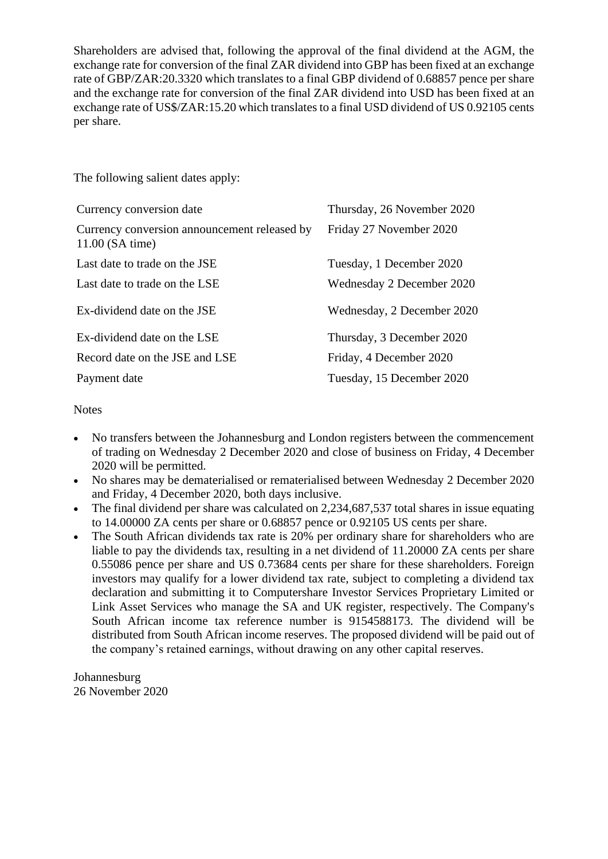Shareholders are advised that, following the approval of the final dividend at the AGM, the exchange rate for conversion of the final ZAR dividend into GBP has been fixed at an exchange rate of GBP/ZAR:20.3320 which translates to a final GBP dividend of 0.68857 pence per share and the exchange rate for conversion of the final ZAR dividend into USD has been fixed at an exchange rate of US\$/ZAR:15.20 which translates to a final USD dividend of US 0.92105 cents per share.

The following salient dates apply:

| Currency conversion date                                          | Thursday, 26 November 2020 |
|-------------------------------------------------------------------|----------------------------|
| Currency conversion announcement released by<br>$11.00$ (SA time) | Friday 27 November 2020    |
| Last date to trade on the JSE                                     | Tuesday, 1 December 2020   |
| Last date to trade on the LSE                                     | Wednesday 2 December 2020  |
| Ex-dividend date on the JSE                                       | Wednesday, 2 December 2020 |
| Ex-dividend date on the LSE                                       | Thursday, 3 December 2020  |
| Record date on the JSE and LSE                                    | Friday, 4 December 2020    |
| Payment date                                                      | Tuesday, 15 December 2020  |

# **Notes**

- No transfers between the Johannesburg and London registers between the commencement of trading on Wednesday 2 December 2020 and close of business on Friday, 4 December 2020 will be permitted.
- No shares may be dematerialised or rematerialised between Wednesday 2 December 2020 and Friday, 4 December 2020, both days inclusive.
- The final dividend per share was calculated on 2,234,687,537 total shares in issue equating to 14.00000 ZA cents per share or 0.68857 pence or 0.92105 US cents per share.
- The South African dividends tax rate is 20% per ordinary share for shareholders who are liable to pay the dividends tax, resulting in a net dividend of 11.20000 ZA cents per share 0.55086 pence per share and US 0.73684 cents per share for these shareholders. Foreign investors may qualify for a lower dividend tax rate, subject to completing a dividend tax declaration and submitting it to Computershare Investor Services Proprietary Limited or Link Asset Services who manage the SA and UK register, respectively. The Company's South African income tax reference number is 9154588173. The dividend will be distributed from South African income reserves. The proposed dividend will be paid out of the company's retained earnings, without drawing on any other capital reserves.

Johannesburg 26 November 2020